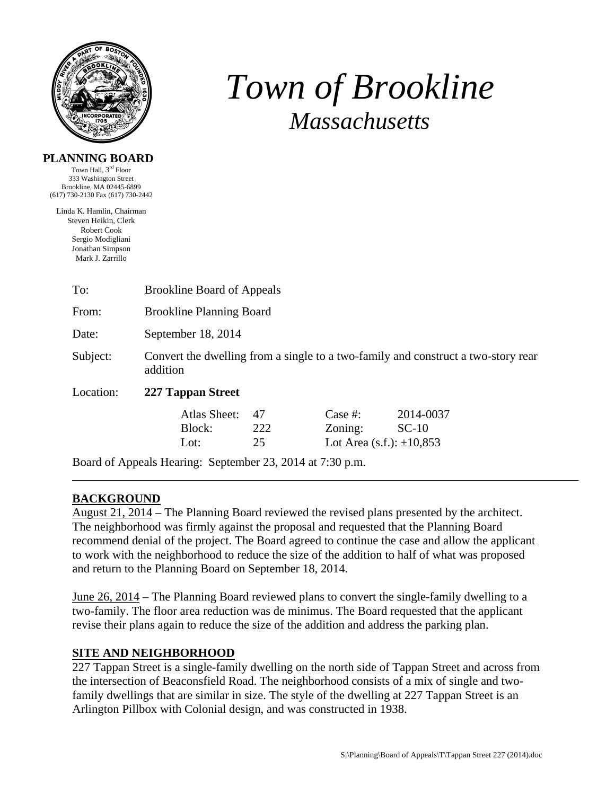

# *Town of Brookline Massachusetts*

#### **PLANNING BOARD**

Town Hall, 3rd Floor 333 Washington Street Brookline, MA 02445-6899 (617) 730-2130 Fax (617) 730-2442

Linda K. Hamlin, Chairman Steven Heikin, Clerk Robert Cook Sergio Modigliani Jonathan Simpson Mark J. Zarrillo

| To:       | <b>Brookline Board of Appeals</b>                                                             |                 |                                                        |                      |
|-----------|-----------------------------------------------------------------------------------------------|-----------------|--------------------------------------------------------|----------------------|
| From:     | <b>Brookline Planning Board</b>                                                               |                 |                                                        |                      |
| Date:     | September 18, 2014                                                                            |                 |                                                        |                      |
| Subject:  | Convert the dwelling from a single to a two-family and construct a two-story rear<br>addition |                 |                                                        |                      |
| Location: | 227 Tappan Street                                                                             |                 |                                                        |                      |
|           | Atlas Sheet:<br>Block:<br>Lot:                                                                | 47<br>222<br>25 | Case $#$ :<br>Zoning:<br>Lot Area (s.f.): $\pm 10,853$ | 2014-0037<br>$SC-10$ |
|           | Board of Appeals Hearing: September 23, 2014 at 7:30 p.m.                                     |                 |                                                        |                      |

## **BACKGROUND**

August 21, 2014 – The Planning Board reviewed the revised plans presented by the architect. The neighborhood was firmly against the proposal and requested that the Planning Board recommend denial of the project. The Board agreed to continue the case and allow the applicant to work with the neighborhood to reduce the size of the addition to half of what was proposed and return to the Planning Board on September 18, 2014.

June 26, 2014 – The Planning Board reviewed plans to convert the single-family dwelling to a two-family. The floor area reduction was de minimus. The Board requested that the applicant revise their plans again to reduce the size of the addition and address the parking plan.

## **SITE AND NEIGHBORHOOD**

227 Tappan Street is a single-family dwelling on the north side of Tappan Street and across from the intersection of Beaconsfield Road. The neighborhood consists of a mix of single and twofamily dwellings that are similar in size. The style of the dwelling at 227 Tappan Street is an Arlington Pillbox with Colonial design, and was constructed in 1938.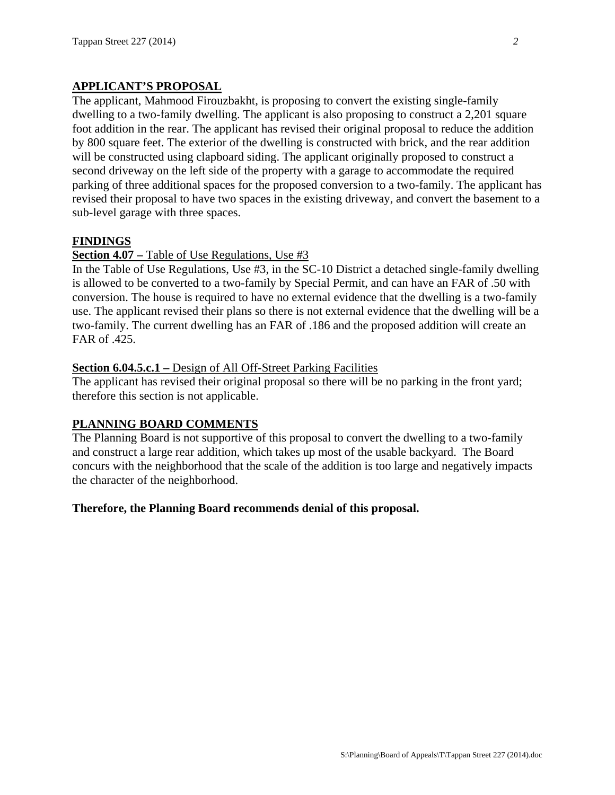## **APPLICANT'S PROPOSAL**

The applicant, Mahmood Firouzbakht, is proposing to convert the existing single-family dwelling to a two-family dwelling. The applicant is also proposing to construct a 2,201 square foot addition in the rear. The applicant has revised their original proposal to reduce the addition by 800 square feet. The exterior of the dwelling is constructed with brick, and the rear addition will be constructed using clapboard siding. The applicant originally proposed to construct a second driveway on the left side of the property with a garage to accommodate the required parking of three additional spaces for the proposed conversion to a two-family. The applicant has revised their proposal to have two spaces in the existing driveway, and convert the basement to a sub-level garage with three spaces.

### **FINDINGS**

#### **Section 4.07 –** Table of Use Regulations, Use #3

In the Table of Use Regulations, Use #3, in the SC-10 District a detached single-family dwelling is allowed to be converted to a two-family by Special Permit, and can have an FAR of .50 with conversion. The house is required to have no external evidence that the dwelling is a two-family use. The applicant revised their plans so there is not external evidence that the dwelling will be a two-family. The current dwelling has an FAR of .186 and the proposed addition will create an FAR of .425.

#### **Section 6.04.5.c.1 –** Design of All Off-Street Parking Facilities

The applicant has revised their original proposal so there will be no parking in the front yard; therefore this section is not applicable.

#### **PLANNING BOARD COMMENTS**

The Planning Board is not supportive of this proposal to convert the dwelling to a two-family and construct a large rear addition, which takes up most of the usable backyard. The Board concurs with the neighborhood that the scale of the addition is too large and negatively impacts the character of the neighborhood.

#### **Therefore, the Planning Board recommends denial of this proposal.**